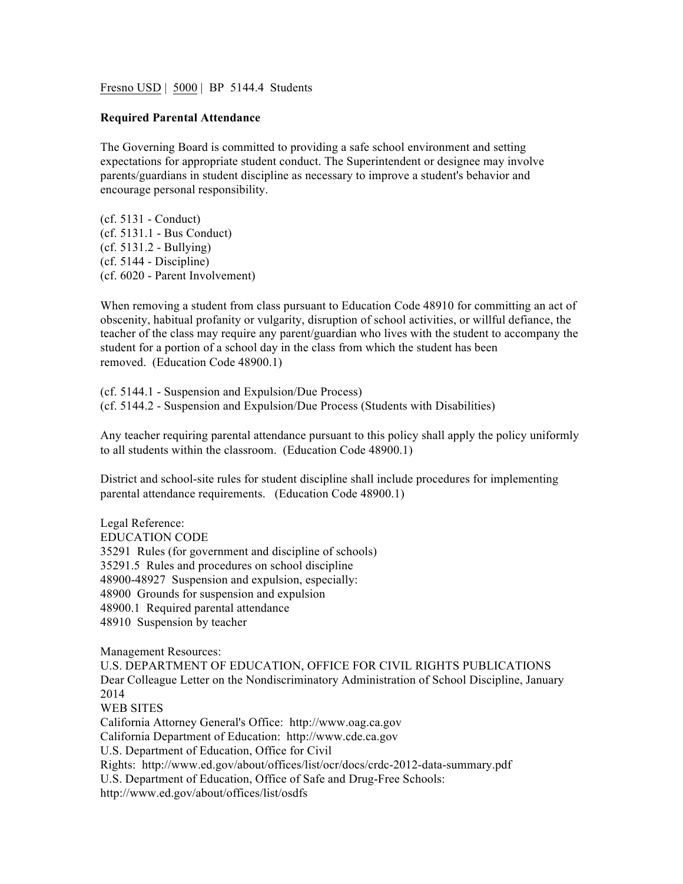Fresno USD | 5000 | BP 5144.4 Students

## **Required Parental Attendance**

The Governing Board is committed to providing a safe school environment and setting expectations for appropriate student conduct. The Superintendent or designee may involve parents/guardians in student discipline as necessary to improve a student's behavior and encourage personal responsibility.

(cf. 5131 - Conduct) (cf. 5131.1 - Bus Conduct) (cf. 5131.2 - Bullying) (cf. 5144 - Discipline) (cf. 6020 - Parent Involvement)

When removing a student from class pursuant to Education Code 48910 for committing an act of obscenity, habitual profanity or vulgarity, disruption of school activities, or willful defiance, the teacher of the class may require any parent/guardian who lives with the student to accompany the student for a portion of a school day in the class from which the student has been removed. (Education Code 48900.1)

(cf. 5144.1 - Suspension and Expulsion/Due Process) (cf. 5144.2 - Suspension and Expulsion/Due Process (Students with Disabilities)

Any teacher requiring parental attendance pursuant to this policy shall apply the policy uniformly to all students within the classroom. (Education Code 48900.1)

District and school-site rules for student discipline shall include procedures for implementing parental attendance requirements. (Education Code 48900.1)

Legal Reference: EDUCATION CODE 35291 Rules (for government and discipline of schools) 35291.5 Rules and procedures on school discipline 48900-48927 Suspension and expulsion, especially: 48900 Grounds for suspension and expulsion 48900.1 Required parental attendance 48910 Suspension by teacher

Management Resources: U.S. DEPARTMENT OF EDUCATION, OFFICE FOR CIVIL RIGHTS PUBLICATIONS Dear Colleague Letter on the Nondiscriminatory Administration of School Discipline, January 2014 WEB SITES California Attorney General's Office: http://www.oag.ca.gov California Department of Education: http://www.cde.ca.gov U.S. Department of Education, Office for Civil Rights: http://www.ed.gov/about/offices/list/ocr/docs/crdc-2012-data-summary.pdf U.S. Department of Education, Office of Safe and Drug-Free Schools: http://www.ed.gov/about/offices/list/osdfs